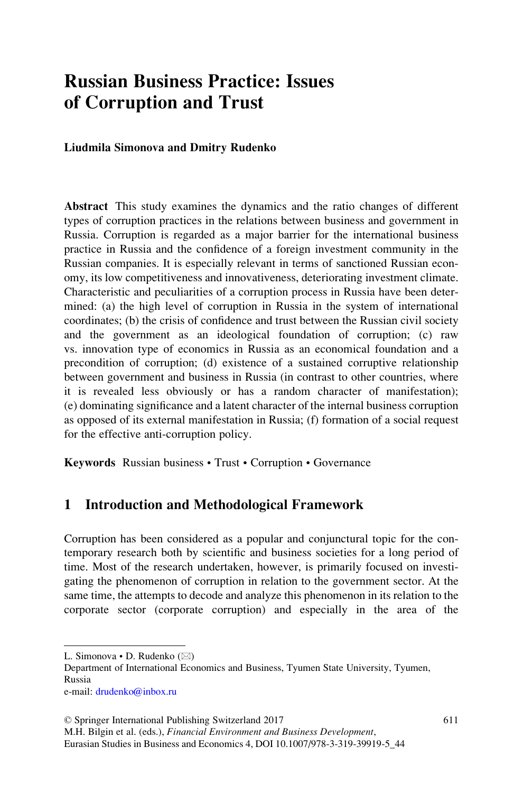# Russian Business Practice: Issues of Corruption and Trust

#### Liudmila Simonova and Dmitry Rudenko

Abstract This study examines the dynamics and the ratio changes of different types of corruption practices in the relations between business and government in Russia. Corruption is regarded as a major barrier for the international business practice in Russia and the confidence of a foreign investment community in the Russian companies. It is especially relevant in terms of sanctioned Russian economy, its low competitiveness and innovativeness, deteriorating investment climate. Characteristic and peculiarities of a corruption process in Russia have been determined: (a) the high level of corruption in Russia in the system of international coordinates; (b) the crisis of confidence and trust between the Russian civil society and the government as an ideological foundation of corruption; (c) raw vs. innovation type of economics in Russia as an economical foundation and a precondition of corruption; (d) existence of a sustained corruptive relationship between government and business in Russia (in contrast to other countries, where it is revealed less obviously or has a random character of manifestation); (e) dominating significance and a latent character of the internal business corruption as opposed of its external manifestation in Russia; (f) formation of a social request for the effective anti-corruption policy.

Keywords Russian business • Trust • Corruption • Governance

#### 1 Introduction and Methodological Framework

Corruption has been considered as a popular and conjunctural topic for the contemporary research both by scientific and business societies for a long period of time. Most of the research undertaken, however, is primarily focused on investigating the phenomenon of corruption in relation to the government sector. At the same time, the attempts to decode and analyze this phenomenon in its relation to the corporate sector (corporate corruption) and especially in the area of the

L. Simonova • D. Rudenko (⊠)

Department of International Economics and Business, Tyumen State University, Tyumen, Russia

e-mail: [drudenko@inbox.ru](mailto:drudenko@inbox.ru)

<sup>©</sup> Springer International Publishing Switzerland 2017

M.H. Bilgin et al. (eds.), Financial Environment and Business Development, Eurasian Studies in Business and Economics 4, DOI 10.1007/978-3-319-39919-5\_44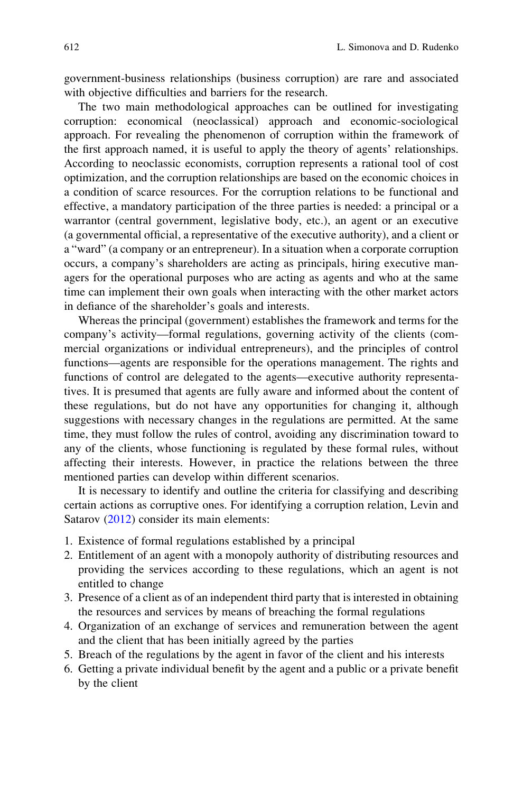government-business relationships (business corruption) are rare and associated with objective difficulties and barriers for the research.

The two main methodological approaches can be outlined for investigating corruption: economical (neoclassical) approach and economic-sociological approach. For revealing the phenomenon of corruption within the framework of the first approach named, it is useful to apply the theory of agents' relationships. According to neoclassic economists, corruption represents a rational tool of cost optimization, and the corruption relationships are based on the economic choices in a condition of scarce resources. For the corruption relations to be functional and effective, a mandatory participation of the three parties is needed: a principal or a warrantor (central government, legislative body, etc.), an agent or an executive (a governmental official, a representative of the executive authority), and a client or a "ward" (a company or an entrepreneur). In a situation when a corporate corruption occurs, a company's shareholders are acting as principals, hiring executive managers for the operational purposes who are acting as agents and who at the same time can implement their own goals when interacting with the other market actors in defiance of the shareholder's goals and interests.

Whereas the principal (government) establishes the framework and terms for the company's activity—formal regulations, governing activity of the clients (commercial organizations or individual entrepreneurs), and the principles of control functions—agents are responsible for the operations management. The rights and functions of control are delegated to the agents—executive authority representatives. It is presumed that agents are fully aware and informed about the content of these regulations, but do not have any opportunities for changing it, although suggestions with necessary changes in the regulations are permitted. At the same time, they must follow the rules of control, avoiding any discrimination toward to any of the clients, whose functioning is regulated by these formal rules, without affecting their interests. However, in practice the relations between the three mentioned parties can develop within different scenarios.

It is necessary to identify and outline the criteria for classifying and describing certain actions as corruptive ones. For identifying a corruption relation, Levin and Satarov ([2012](#page-11-0)) consider its main elements:

- 1. Existence of formal regulations established by a principal
- 2. Entitlement of an agent with a monopoly authority of distributing resources and providing the services according to these regulations, which an agent is not entitled to change
- 3. Presence of a client as of an independent third party that is interested in obtaining the resources and services by means of breaching the formal regulations
- 4. Organization of an exchange of services and remuneration between the agent and the client that has been initially agreed by the parties
- 5. Breach of the regulations by the agent in favor of the client and his interests
- 6. Getting a private individual benefit by the agent and a public or a private benefit by the client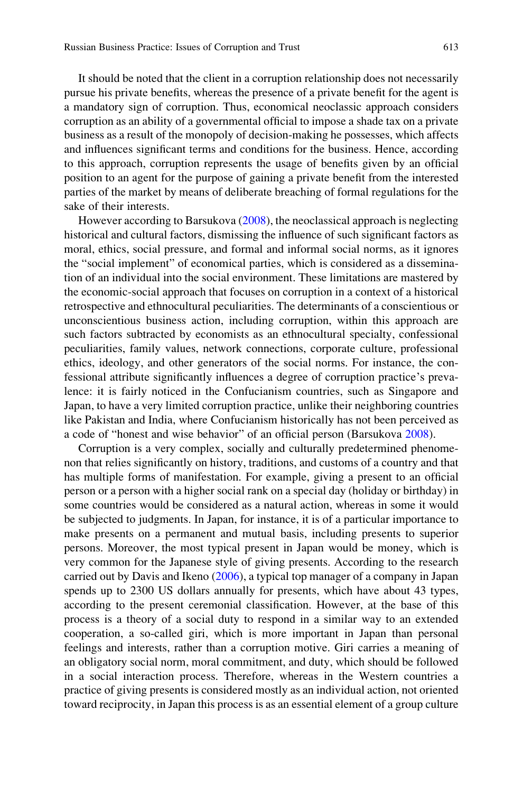It should be noted that the client in a corruption relationship does not necessarily pursue his private benefits, whereas the presence of a private benefit for the agent is a mandatory sign of corruption. Thus, economical neoclassic approach considers corruption as an ability of a governmental official to impose a shade tax on a private business as a result of the monopoly of decision-making he possesses, which affects and influences significant terms and conditions for the business. Hence, according to this approach, corruption represents the usage of benefits given by an official position to an agent for the purpose of gaining a private benefit from the interested parties of the market by means of deliberate breaching of formal regulations for the sake of their interests.

However according to Barsukova ([2008\)](#page-11-0), the neoclassical approach is neglecting historical and cultural factors, dismissing the influence of such significant factors as moral, ethics, social pressure, and formal and informal social norms, as it ignores the "social implement" of economical parties, which is considered as a dissemination of an individual into the social environment. These limitations are mastered by the economic-social approach that focuses on corruption in a context of a historical retrospective and ethnocultural peculiarities. The determinants of a conscientious or unconscientious business action, including corruption, within this approach are such factors subtracted by economists as an ethnocultural specialty, confessional peculiarities, family values, network connections, corporate culture, professional ethics, ideology, and other generators of the social norms. For instance, the confessional attribute significantly influences a degree of corruption practice's prevalence: it is fairly noticed in the Confucianism countries, such as Singapore and Japan, to have a very limited corruption practice, unlike their neighboring countries like Pakistan and India, where Confucianism historically has not been perceived as a code of "honest and wise behavior" of an official person (Barsukova [2008\)](#page-11-0).

Corruption is a very complex, socially and culturally predetermined phenomenon that relies significantly on history, traditions, and customs of a country and that has multiple forms of manifestation. For example, giving a present to an official person or a person with a higher social rank on a special day (holiday or birthday) in some countries would be considered as a natural action, whereas in some it would be subjected to judgments. In Japan, for instance, it is of a particular importance to make presents on a permanent and mutual basis, including presents to superior persons. Moreover, the most typical present in Japan would be money, which is very common for the Japanese style of giving presents. According to the research carried out by Davis and Ikeno [\(2006](#page-11-0)), a typical top manager of a company in Japan spends up to 2300 US dollars annually for presents, which have about 43 types, according to the present ceremonial classification. However, at the base of this process is a theory of a social duty to respond in a similar way to an extended cooperation, a so-called giri, which is more important in Japan than personal feelings and interests, rather than a corruption motive. Giri carries a meaning of an obligatory social norm, moral commitment, and duty, which should be followed in a social interaction process. Therefore, whereas in the Western countries a practice of giving presents is considered mostly as an individual action, not oriented toward reciprocity, in Japan this process is as an essential element of a group culture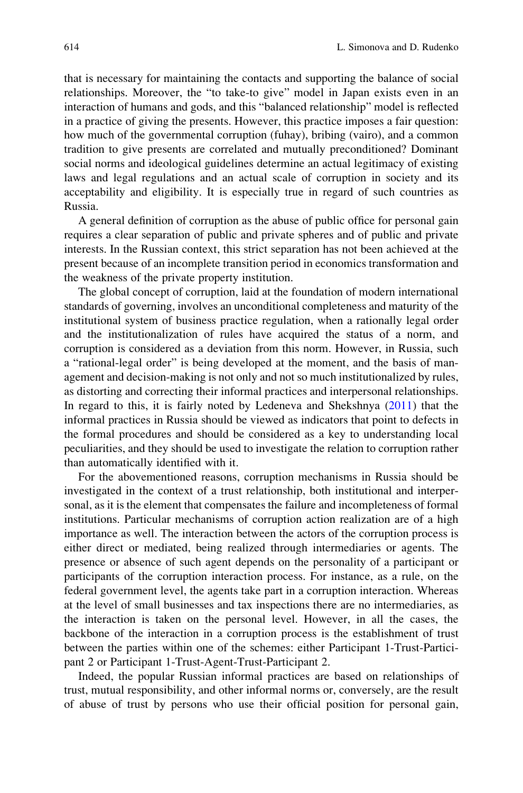that is necessary for maintaining the contacts and supporting the balance of social relationships. Moreover, the "to take-to give" model in Japan exists even in an interaction of humans and gods, and this "balanced relationship" model is reflected in a practice of giving the presents. However, this practice imposes a fair question: how much of the governmental corruption (fuhay), bribing (vairo), and a common tradition to give presents are correlated and mutually preconditioned? Dominant social norms and ideological guidelines determine an actual legitimacy of existing laws and legal regulations and an actual scale of corruption in society and its acceptability and eligibility. It is especially true in regard of such countries as Russia.

A general definition of corruption as the abuse of public office for personal gain requires a clear separation of public and private spheres and of public and private interests. In the Russian context, this strict separation has not been achieved at the present because of an incomplete transition period in economics transformation and the weakness of the private property institution.

The global concept of corruption, laid at the foundation of modern international standards of governing, involves an unconditional completeness and maturity of the institutional system of business practice regulation, when a rationally legal order and the institutionalization of rules have acquired the status of a norm, and corruption is considered as a deviation from this norm. However, in Russia, such a "rational-legal order" is being developed at the moment, and the basis of management and decision-making is not only and not so much institutionalized by rules, as distorting and correcting their informal practices and interpersonal relationships. In regard to this, it is fairly noted by Ledeneva and Shekshnya ([2011\)](#page-11-0) that the informal practices in Russia should be viewed as indicators that point to defects in the formal procedures and should be considered as a key to understanding local peculiarities, and they should be used to investigate the relation to corruption rather than automatically identified with it.

For the abovementioned reasons, corruption mechanisms in Russia should be investigated in the context of a trust relationship, both institutional and interpersonal, as it is the element that compensates the failure and incompleteness of formal institutions. Particular mechanisms of corruption action realization are of a high importance as well. The interaction between the actors of the corruption process is either direct or mediated, being realized through intermediaries or agents. The presence or absence of such agent depends on the personality of a participant or participants of the corruption interaction process. For instance, as a rule, on the federal government level, the agents take part in a corruption interaction. Whereas at the level of small businesses and tax inspections there are no intermediaries, as the interaction is taken on the personal level. However, in all the cases, the backbone of the interaction in a corruption process is the establishment of trust between the parties within one of the schemes: either Participant 1-Trust-Participant 2 or Participant 1-Trust-Agent-Trust-Participant 2.

Indeed, the popular Russian informal practices are based on relationships of trust, mutual responsibility, and other informal norms or, conversely, are the result of abuse of trust by persons who use their official position for personal gain,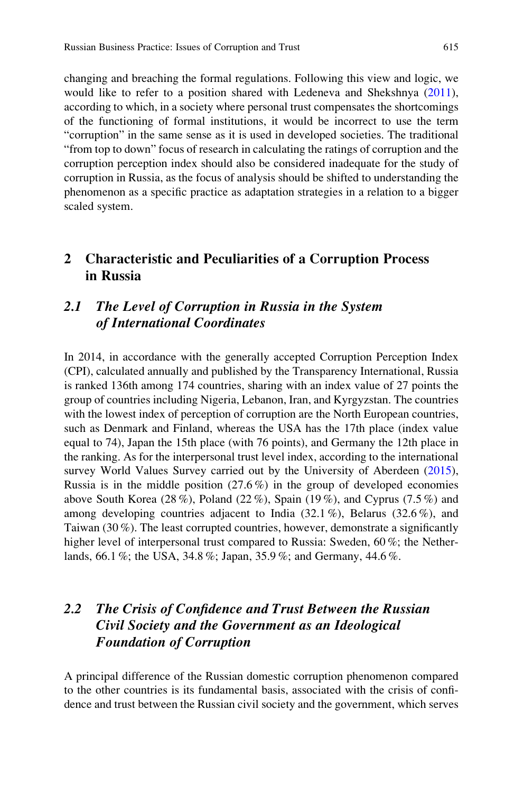changing and breaching the formal regulations. Following this view and logic, we would like to refer to a position shared with Ledeneva and Shekshnya ([2011\)](#page-11-0), according to which, in a society where personal trust compensates the shortcomings of the functioning of formal institutions, it would be incorrect to use the term "corruption" in the same sense as it is used in developed societies. The traditional "from top to down" focus of research in calculating the ratings of corruption and the corruption perception index should also be considered inadequate for the study of corruption in Russia, as the focus of analysis should be shifted to understanding the phenomenon as a specific practice as adaptation strategies in a relation to a bigger scaled system.

#### 2 Characteristic and Peculiarities of a Corruption Process in Russia

#### 2.1 The Level of Corruption in Russia in the System of International Coordinates

In 2014, in accordance with the generally accepted Corruption Perception Index (CPI), calculated annually and published by the Transparency International, Russia is ranked 136th among 174 countries, sharing with an index value of 27 points the group of countries including Nigeria, Lebanon, Iran, and Kyrgyzstan. The countries with the lowest index of perception of corruption are the North European countries, such as Denmark and Finland, whereas the USA has the 17th place (index value equal to 74), Japan the 15th place (with 76 points), and Germany the 12th place in the ranking. As for the interpersonal trust level index, according to the international survey World Values Survey carried out by the University of Aberdeen ([2015\)](#page-11-0), Russia is in the middle position  $(27.6\%)$  in the group of developed economies above South Korea (28 %), Poland (22 %), Spain (19 %), and Cyprus (7.5 %) and among developing countries adjacent to India (32.1 %), Belarus (32.6 %), and Taiwan  $(30\%)$ . The least corrupted countries, however, demonstrate a significantly higher level of interpersonal trust compared to Russia: Sweden, 60 %; the Netherlands, 66.1 %; the USA, 34.8 %; Japan, 35.9 %; and Germany, 44.6 %.

### 2.2 The Crisis of Confidence and Trust Between the Russian Civil Society and the Government as an Ideological Foundation of Corruption

A principal difference of the Russian domestic corruption phenomenon compared to the other countries is its fundamental basis, associated with the crisis of confidence and trust between the Russian civil society and the government, which serves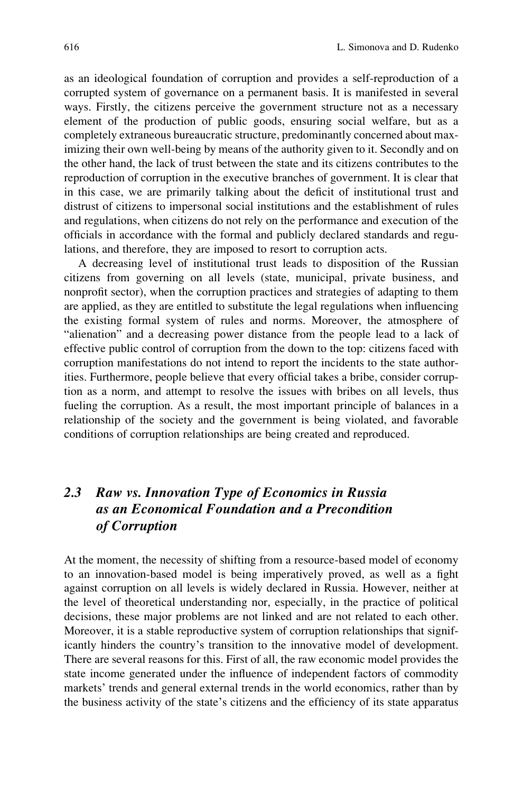as an ideological foundation of corruption and provides a self-reproduction of a corrupted system of governance on a permanent basis. It is manifested in several ways. Firstly, the citizens perceive the government structure not as a necessary element of the production of public goods, ensuring social welfare, but as a completely extraneous bureaucratic structure, predominantly concerned about maximizing their own well-being by means of the authority given to it. Secondly and on the other hand, the lack of trust between the state and its citizens contributes to the reproduction of corruption in the executive branches of government. It is clear that in this case, we are primarily talking about the deficit of institutional trust and distrust of citizens to impersonal social institutions and the establishment of rules and regulations, when citizens do not rely on the performance and execution of the officials in accordance with the formal and publicly declared standards and regulations, and therefore, they are imposed to resort to corruption acts.

A decreasing level of institutional trust leads to disposition of the Russian citizens from governing on all levels (state, municipal, private business, and nonprofit sector), when the corruption practices and strategies of adapting to them are applied, as they are entitled to substitute the legal regulations when influencing the existing formal system of rules and norms. Moreover, the atmosphere of "alienation" and a decreasing power distance from the people lead to a lack of effective public control of corruption from the down to the top: citizens faced with corruption manifestations do not intend to report the incidents to the state authorities. Furthermore, people believe that every official takes a bribe, consider corruption as a norm, and attempt to resolve the issues with bribes on all levels, thus fueling the corruption. As a result, the most important principle of balances in a relationship of the society and the government is being violated, and favorable conditions of corruption relationships are being created and reproduced.

# 2.3 Raw vs. Innovation Type of Economics in Russia as an Economical Foundation and a Precondition of Corruption

At the moment, the necessity of shifting from a resource-based model of economy to an innovation-based model is being imperatively proved, as well as a fight against corruption on all levels is widely declared in Russia. However, neither at the level of theoretical understanding nor, especially, in the practice of political decisions, these major problems are not linked and are not related to each other. Moreover, it is a stable reproductive system of corruption relationships that significantly hinders the country's transition to the innovative model of development. There are several reasons for this. First of all, the raw economic model provides the state income generated under the influence of independent factors of commodity markets' trends and general external trends in the world economics, rather than by the business activity of the state's citizens and the efficiency of its state apparatus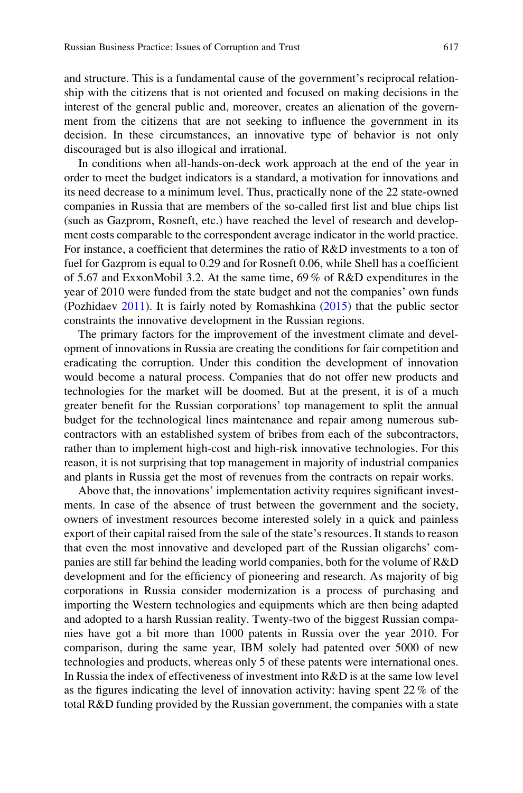and structure. This is a fundamental cause of the government's reciprocal relationship with the citizens that is not oriented and focused on making decisions in the interest of the general public and, moreover, creates an alienation of the government from the citizens that are not seeking to influence the government in its decision. In these circumstances, an innovative type of behavior is not only discouraged but is also illogical and irrational.

In conditions when all-hands-on-deck work approach at the end of the year in order to meet the budget indicators is a standard, a motivation for innovations and its need decrease to a minimum level. Thus, practically none of the 22 state-owned companies in Russia that are members of the so-called first list and blue chips list (such as Gazprom, Rosneft, etc.) have reached the level of research and development costs comparable to the correspondent average indicator in the world practice. For instance, a coefficient that determines the ratio of R&D investments to a ton of fuel for Gazprom is equal to 0.29 and for Rosneft 0.06, while Shell has a coefficient of 5.67 and ExxonMobil 3.2. At the same time, 69 % of R&D expenditures in the year of 2010 were funded from the state budget and not the companies' own funds (Pozhidaev [2011](#page-11-0)). It is fairly noted by Romashkina [\(2015](#page-11-0)) that the public sector constraints the innovative development in the Russian regions.

The primary factors for the improvement of the investment climate and development of innovations in Russia are creating the conditions for fair competition and eradicating the corruption. Under this condition the development of innovation would become a natural process. Companies that do not offer new products and technologies for the market will be doomed. But at the present, it is of a much greater benefit for the Russian corporations' top management to split the annual budget for the technological lines maintenance and repair among numerous subcontractors with an established system of bribes from each of the subcontractors, rather than to implement high-cost and high-risk innovative technologies. For this reason, it is not surprising that top management in majority of industrial companies and plants in Russia get the most of revenues from the contracts on repair works.

Above that, the innovations' implementation activity requires significant investments. In case of the absence of trust between the government and the society, owners of investment resources become interested solely in a quick and painless export of their capital raised from the sale of the state's resources. It stands to reason that even the most innovative and developed part of the Russian oligarchs' companies are still far behind the leading world companies, both for the volume of R&D development and for the efficiency of pioneering and research. As majority of big corporations in Russia consider modernization is a process of purchasing and importing the Western technologies and equipments which are then being adapted and adopted to a harsh Russian reality. Twenty-two of the biggest Russian companies have got a bit more than 1000 patents in Russia over the year 2010. For comparison, during the same year, IBM solely had patented over 5000 of new technologies and products, whereas only 5 of these patents were international ones. In Russia the index of effectiveness of investment into R&D is at the same low level as the figures indicating the level of innovation activity: having spent 22 % of the total R&D funding provided by the Russian government, the companies with a state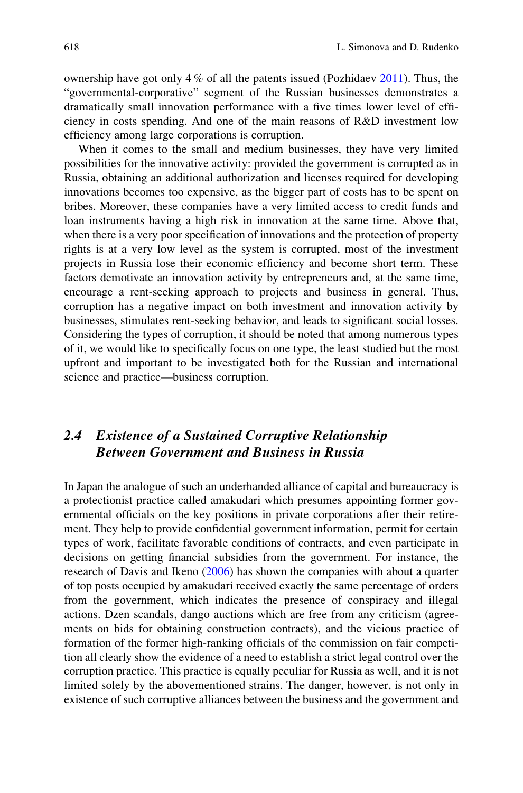ownership have got only 4 % of all the patents issued (Pozhidaev [2011](#page-11-0)). Thus, the "governmental-corporative" segment of the Russian businesses demonstrates a dramatically small innovation performance with a five times lower level of efficiency in costs spending. And one of the main reasons of R&D investment low efficiency among large corporations is corruption.

When it comes to the small and medium businesses, they have very limited possibilities for the innovative activity: provided the government is corrupted as in Russia, obtaining an additional authorization and licenses required for developing innovations becomes too expensive, as the bigger part of costs has to be spent on bribes. Moreover, these companies have a very limited access to credit funds and loan instruments having a high risk in innovation at the same time. Above that, when there is a very poor specification of innovations and the protection of property rights is at a very low level as the system is corrupted, most of the investment projects in Russia lose their economic efficiency and become short term. These factors demotivate an innovation activity by entrepreneurs and, at the same time, encourage a rent-seeking approach to projects and business in general. Thus, corruption has a negative impact on both investment and innovation activity by businesses, stimulates rent-seeking behavior, and leads to significant social losses. Considering the types of corruption, it should be noted that among numerous types of it, we would like to specifically focus on one type, the least studied but the most upfront and important to be investigated both for the Russian and international science and practice—business corruption.

#### 2.4 Existence of a Sustained Corruptive Relationship Between Government and Business in Russia

In Japan the analogue of such an underhanded alliance of capital and bureaucracy is a protectionist practice called amakudari which presumes appointing former governmental officials on the key positions in private corporations after their retirement. They help to provide confidential government information, permit for certain types of work, facilitate favorable conditions of contracts, and even participate in decisions on getting financial subsidies from the government. For instance, the research of Davis and Ikeno [\(2006](#page-11-0)) has shown the companies with about a quarter of top posts occupied by amakudari received exactly the same percentage of orders from the government, which indicates the presence of conspiracy and illegal actions. Dzen scandals, dango auctions which are free from any criticism (agreements on bids for obtaining construction contracts), and the vicious practice of formation of the former high-ranking officials of the commission on fair competition all clearly show the evidence of a need to establish a strict legal control over the corruption practice. This practice is equally peculiar for Russia as well, and it is not limited solely by the abovementioned strains. The danger, however, is not only in existence of such corruptive alliances between the business and the government and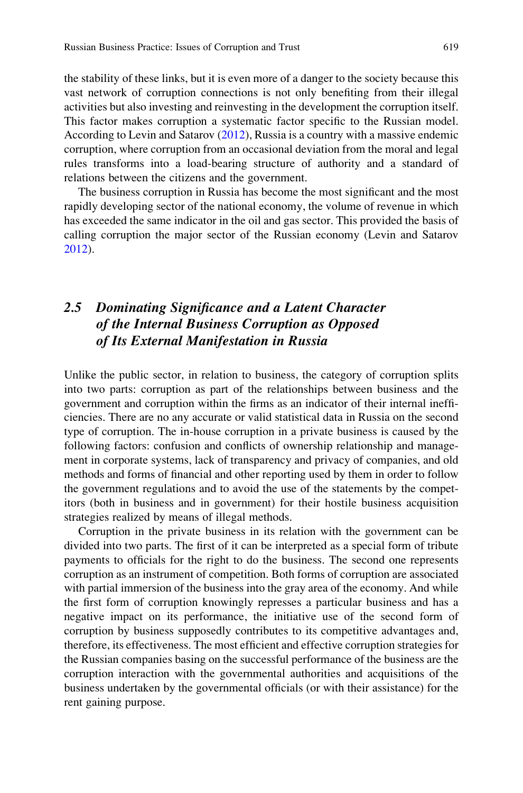the stability of these links, but it is even more of a danger to the society because this vast network of corruption connections is not only benefiting from their illegal activities but also investing and reinvesting in the development the corruption itself. This factor makes corruption a systematic factor specific to the Russian model. According to Levin and Satarov [\(2012](#page-11-0)), Russia is a country with a massive endemic corruption, where corruption from an occasional deviation from the moral and legal rules transforms into a load-bearing structure of authority and a standard of relations between the citizens and the government.

The business corruption in Russia has become the most significant and the most rapidly developing sector of the national economy, the volume of revenue in which has exceeded the same indicator in the oil and gas sector. This provided the basis of calling corruption the major sector of the Russian economy (Levin and Satarov [2012\)](#page-11-0).

# 2.5 Dominating Significance and a Latent Character of the Internal Business Corruption as Opposed of Its External Manifestation in Russia

Unlike the public sector, in relation to business, the category of corruption splits into two parts: corruption as part of the relationships between business and the government and corruption within the firms as an indicator of their internal inefficiencies. There are no any accurate or valid statistical data in Russia on the second type of corruption. The in-house corruption in a private business is caused by the following factors: confusion and conflicts of ownership relationship and management in corporate systems, lack of transparency and privacy of companies, and old methods and forms of financial and other reporting used by them in order to follow the government regulations and to avoid the use of the statements by the competitors (both in business and in government) for their hostile business acquisition strategies realized by means of illegal methods.

Corruption in the private business in its relation with the government can be divided into two parts. The first of it can be interpreted as a special form of tribute payments to officials for the right to do the business. The second one represents corruption as an instrument of competition. Both forms of corruption are associated with partial immersion of the business into the gray area of the economy. And while the first form of corruption knowingly represses a particular business and has a negative impact on its performance, the initiative use of the second form of corruption by business supposedly contributes to its competitive advantages and, therefore, its effectiveness. The most efficient and effective corruption strategies for the Russian companies basing on the successful performance of the business are the corruption interaction with the governmental authorities and acquisitions of the business undertaken by the governmental officials (or with their assistance) for the rent gaining purpose.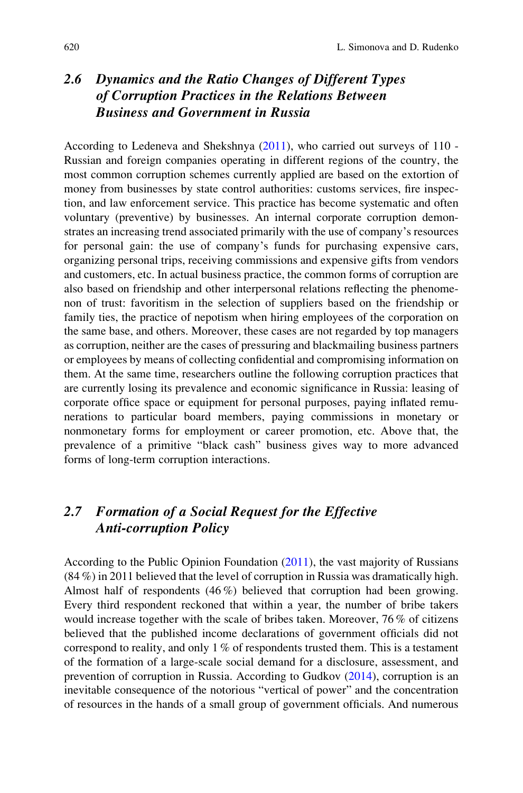# 2.6 Dynamics and the Ratio Changes of Different Types of Corruption Practices in the Relations Between Business and Government in Russia

According to Ledeneva and Shekshnya ([2011\)](#page-11-0), who carried out surveys of 110 - Russian and foreign companies operating in different regions of the country, the most common corruption schemes currently applied are based on the extortion of money from businesses by state control authorities: customs services, fire inspection, and law enforcement service. This practice has become systematic and often voluntary (preventive) by businesses. An internal corporate corruption demonstrates an increasing trend associated primarily with the use of company's resources for personal gain: the use of company's funds for purchasing expensive cars, organizing personal trips, receiving commissions and expensive gifts from vendors and customers, etc. In actual business practice, the common forms of corruption are also based on friendship and other interpersonal relations reflecting the phenomenon of trust: favoritism in the selection of suppliers based on the friendship or family ties, the practice of nepotism when hiring employees of the corporation on the same base, and others. Moreover, these cases are not regarded by top managers as corruption, neither are the cases of pressuring and blackmailing business partners or employees by means of collecting confidential and compromising information on them. At the same time, researchers outline the following corruption practices that are currently losing its prevalence and economic significance in Russia: leasing of corporate office space or equipment for personal purposes, paying inflated remunerations to particular board members, paying commissions in monetary or nonmonetary forms for employment or career promotion, etc. Above that, the prevalence of a primitive "black cash" business gives way to more advanced forms of long-term corruption interactions.

#### 2.7 Formation of a Social Request for the Effective Anti-corruption Policy

According to the Public Opinion Foundation ([2011\)](#page-11-0), the vast majority of Russians (84 %) in 2011 believed that the level of corruption in Russia was dramatically high. Almost half of respondents (46 %) believed that corruption had been growing. Every third respondent reckoned that within a year, the number of bribe takers would increase together with the scale of bribes taken. Moreover, 76 % of citizens believed that the published income declarations of government officials did not correspond to reality, and only 1 % of respondents trusted them. This is a testament of the formation of a large-scale social demand for a disclosure, assessment, and prevention of corruption in Russia. According to Gudkov ([2014\)](#page-11-0), corruption is an inevitable consequence of the notorious "vertical of power" and the concentration of resources in the hands of a small group of government officials. And numerous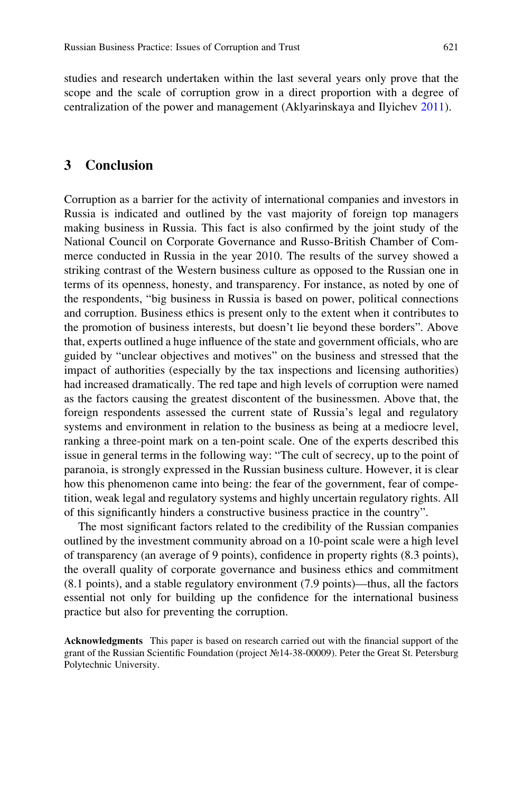studies and research undertaken within the last several years only prove that the scope and the scale of corruption grow in a direct proportion with a degree of centralization of the power and management (Aklyarinskaya and Ilyichev [2011\)](#page-11-0).

#### 3 Conclusion

Corruption as a barrier for the activity of international companies and investors in Russia is indicated and outlined by the vast majority of foreign top managers making business in Russia. This fact is also confirmed by the joint study of the National Council on Corporate Governance and Russo-British Chamber of Commerce conducted in Russia in the year 2010. The results of the survey showed a striking contrast of the Western business culture as opposed to the Russian one in terms of its openness, honesty, and transparency. For instance, as noted by one of the respondents, "big business in Russia is based on power, political connections and corruption. Business ethics is present only to the extent when it contributes to the promotion of business interests, but doesn't lie beyond these borders". Above that, experts outlined a huge influence of the state and government officials, who are guided by "unclear objectives and motives" on the business and stressed that the impact of authorities (especially by the tax inspections and licensing authorities) had increased dramatically. The red tape and high levels of corruption were named as the factors causing the greatest discontent of the businessmen. Above that, the foreign respondents assessed the current state of Russia's legal and regulatory systems and environment in relation to the business as being at a mediocre level, ranking a three-point mark on a ten-point scale. One of the experts described this issue in general terms in the following way: "The cult of secrecy, up to the point of paranoia, is strongly expressed in the Russian business culture. However, it is clear how this phenomenon came into being: the fear of the government, fear of competition, weak legal and regulatory systems and highly uncertain regulatory rights. All of this significantly hinders a constructive business practice in the country".

The most significant factors related to the credibility of the Russian companies outlined by the investment community abroad on a 10-point scale were a high level of transparency (an average of 9 points), confidence in property rights (8.3 points), the overall quality of corporate governance and business ethics and commitment (8.1 points), and a stable regulatory environment (7.9 points)—thus, all the factors essential not only for building up the confidence for the international business practice but also for preventing the corruption.

Acknowledgments This paper is based on research carried out with the financial support of the grant of the Russian Scientific Foundation (project №14-38-00009). Peter the Great St. Petersburg Polytechnic University.